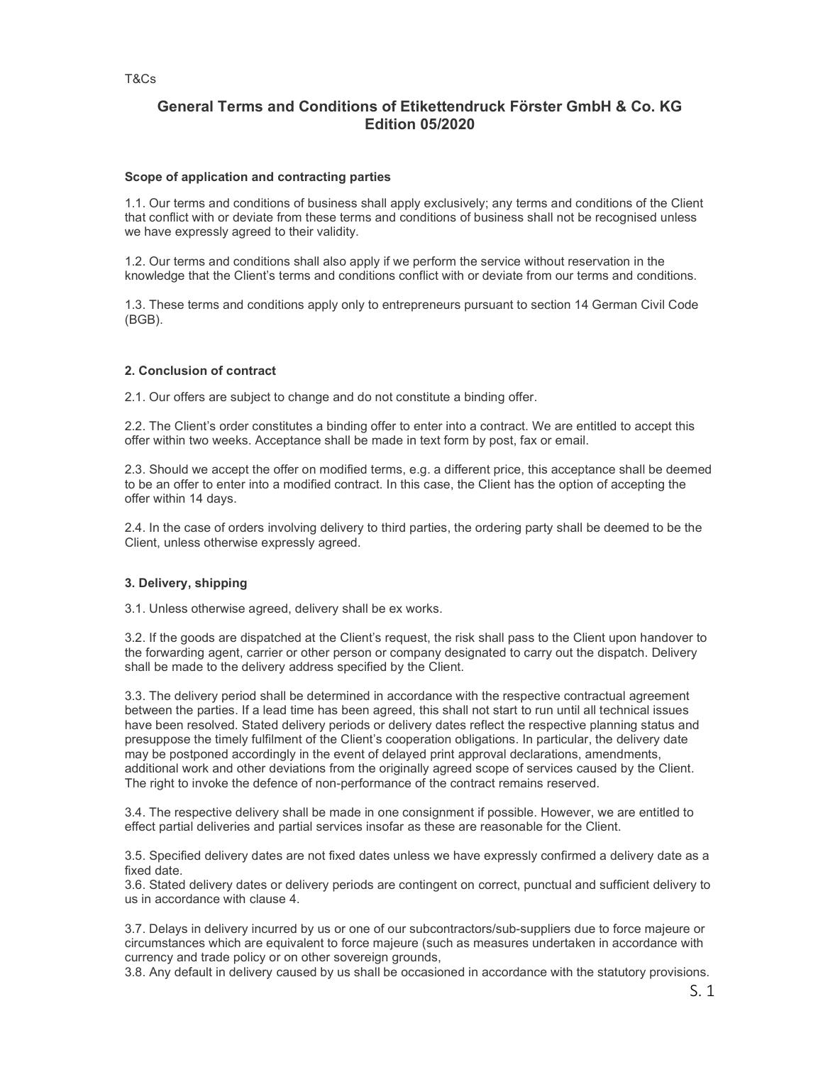# General Terms and Conditions of Etikettendruck Förster GmbH & Co. KG Edition 05/2020

## Scope of application and contracting parties

1.1. Our terms and conditions of business shall apply exclusively; any terms and conditions of the Client that conflict with or deviate from these terms and conditions of business shall not be recognised unless we have expressly agreed to their validity.

1.2. Our terms and conditions shall also apply if we perform the service without reservation in the knowledge that the Client's terms and conditions conflict with or deviate from our terms and conditions.

1.3. These terms and conditions apply only to entrepreneurs pursuant to section 14 German Civil Code (BGB).

## 2. Conclusion of contract

2.1. Our offers are subject to change and do not constitute a binding offer.

2.2. The Client's order constitutes a binding offer to enter into a contract. We are entitled to accept this offer within two weeks. Acceptance shall be made in text form by post, fax or email.

2.3. Should we accept the offer on modified terms, e.g. a different price, this acceptance shall be deemed to be an offer to enter into a modified contract. In this case, the Client has the option of accepting the offer within 14 days.

2.4. In the case of orders involving delivery to third parties, the ordering party shall be deemed to be the Client, unless otherwise expressly agreed.

## 3. Delivery, shipping

3.1. Unless otherwise agreed, delivery shall be ex works.

3.2. If the goods are dispatched at the Client's request, the risk shall pass to the Client upon handover to the forwarding agent, carrier or other person or company designated to carry out the dispatch. Delivery shall be made to the delivery address specified by the Client.

3.3. The delivery period shall be determined in accordance with the respective contractual agreement between the parties. If a lead time has been agreed, this shall not start to run until all technical issues have been resolved. Stated delivery periods or delivery dates reflect the respective planning status and presuppose the timely fulfilment of the Client's cooperation obligations. In particular, the delivery date may be postponed accordingly in the event of delayed print approval declarations, amendments, additional work and other deviations from the originally agreed scope of services caused by the Client. The right to invoke the defence of non-performance of the contract remains reserved.

3.4. The respective delivery shall be made in one consignment if possible. However, we are entitled to effect partial deliveries and partial services insofar as these are reasonable for the Client.

3.5. Specified delivery dates are not fixed dates unless we have expressly confirmed a delivery date as a fixed date.

3.6. Stated delivery dates or delivery periods are contingent on correct, punctual and sufficient delivery to us in accordance with clause 4.

3.7. Delays in delivery incurred by us or one of our subcontractors/sub-suppliers due to force majeure or circumstances which are equivalent to force majeure (such as measures undertaken in accordance with currency and trade policy or on other sovereign grounds,

3.8. Any default in delivery caused by us shall be occasioned in accordance with the statutory provisions.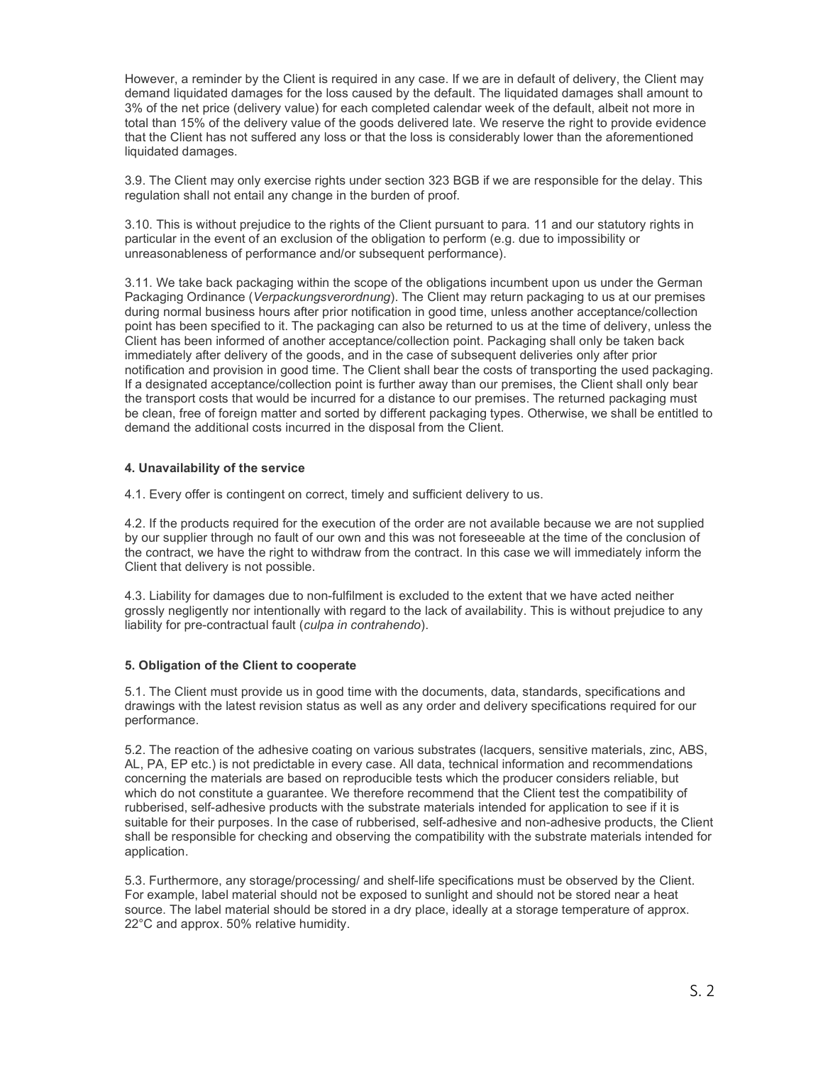However, a reminder by the Client is required in any case. If we are in default of delivery, the Client may demand liquidated damages for the loss caused by the default. The liquidated damages shall amount to 3% of the net price (delivery value) for each completed calendar week of the default, albeit not more in total than 15% of the delivery value of the goods delivered late. We reserve the right to provide evidence that the Client has not suffered any loss or that the loss is considerably lower than the aforementioned liquidated damages.

3.9. The Client may only exercise rights under section 323 BGB if we are responsible for the delay. This regulation shall not entail any change in the burden of proof.

3.10. This is without prejudice to the rights of the Client pursuant to para. 11 and our statutory rights in particular in the event of an exclusion of the obligation to perform (e.g. due to impossibility or unreasonableness of performance and/or subsequent performance).

3.11. We take back packaging within the scope of the obligations incumbent upon us under the German Packaging Ordinance (Verpackungsverordnung). The Client may return packaging to us at our premises during normal business hours after prior notification in good time, unless another acceptance/collection point has been specified to it. The packaging can also be returned to us at the time of delivery, unless the Client has been informed of another acceptance/collection point. Packaging shall only be taken back immediately after delivery of the goods, and in the case of subsequent deliveries only after prior notification and provision in good time. The Client shall bear the costs of transporting the used packaging. If a designated acceptance/collection point is further away than our premises, the Client shall only bear the transport costs that would be incurred for a distance to our premises. The returned packaging must be clean, free of foreign matter and sorted by different packaging types. Otherwise, we shall be entitled to demand the additional costs incurred in the disposal from the Client.

#### 4. Unavailability of the service

4.1. Every offer is contingent on correct, timely and sufficient delivery to us.

4.2. If the products required for the execution of the order are not available because we are not supplied by our supplier through no fault of our own and this was not foreseeable at the time of the conclusion of the contract, we have the right to withdraw from the contract. In this case we will immediately inform the Client that delivery is not possible.

4.3. Liability for damages due to non-fulfilment is excluded to the extent that we have acted neither grossly negligently nor intentionally with regard to the lack of availability. This is without prejudice to any liability for pre-contractual fault (culpa in contrahendo).

# 5. Obligation of the Client to cooperate

5.1. The Client must provide us in good time with the documents, data, standards, specifications and drawings with the latest revision status as well as any order and delivery specifications required for our performance.

5.2. The reaction of the adhesive coating on various substrates (lacquers, sensitive materials, zinc, ABS, AL, PA, EP etc.) is not predictable in every case. All data, technical information and recommendations concerning the materials are based on reproducible tests which the producer considers reliable, but which do not constitute a guarantee. We therefore recommend that the Client test the compatibility of rubberised, self-adhesive products with the substrate materials intended for application to see if it is suitable for their purposes. In the case of rubberised, self-adhesive and non-adhesive products, the Client shall be responsible for checking and observing the compatibility with the substrate materials intended for application.

5.3. Furthermore, any storage/processing/ and shelf-life specifications must be observed by the Client. For example, label material should not be exposed to sunlight and should not be stored near a heat source. The label material should be stored in a dry place, ideally at a storage temperature of approx. 22°C and approx. 50% relative humidity.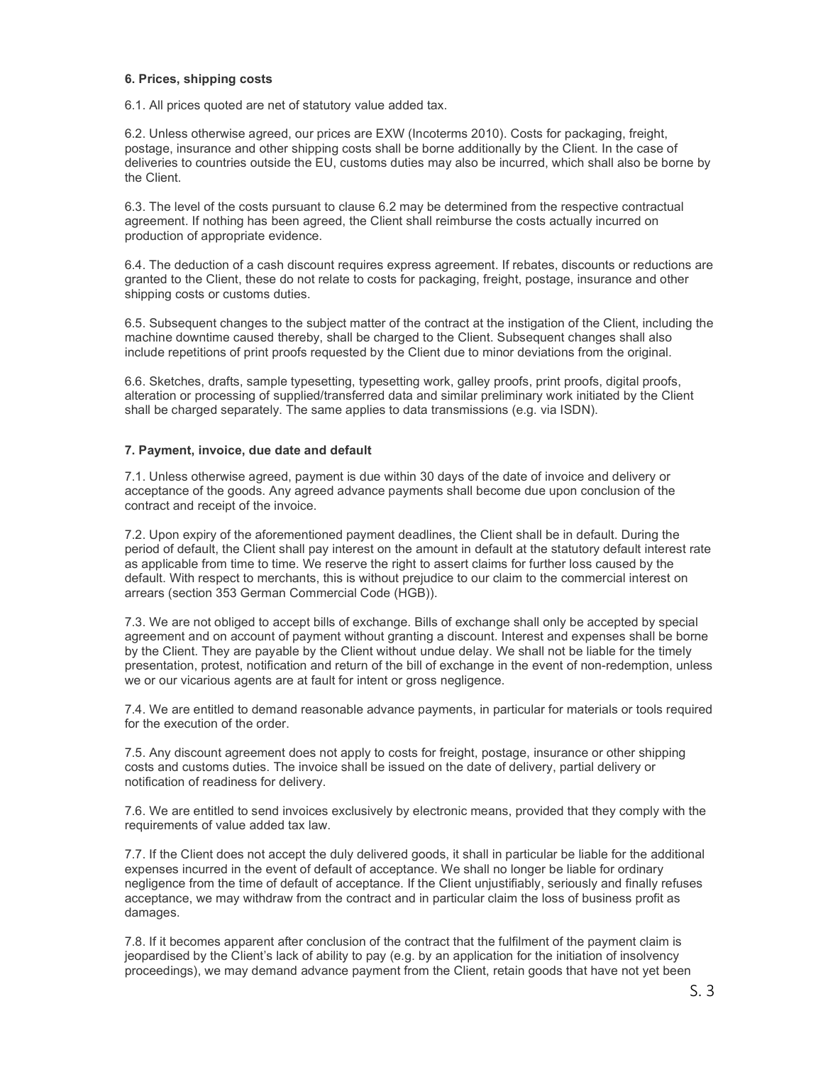### 6. Prices, shipping costs

6.1. All prices quoted are net of statutory value added tax.

6.2. Unless otherwise agreed, our prices are EXW (Incoterms 2010). Costs for packaging, freight, postage, insurance and other shipping costs shall be borne additionally by the Client. In the case of deliveries to countries outside the EU, customs duties may also be incurred, which shall also be borne by the Client.

6.3. The level of the costs pursuant to clause 6.2 may be determined from the respective contractual agreement. If nothing has been agreed, the Client shall reimburse the costs actually incurred on production of appropriate evidence.

6.4. The deduction of a cash discount requires express agreement. If rebates, discounts or reductions are granted to the Client, these do not relate to costs for packaging, freight, postage, insurance and other shipping costs or customs duties.

6.5. Subsequent changes to the subject matter of the contract at the instigation of the Client, including the machine downtime caused thereby, shall be charged to the Client. Subsequent changes shall also include repetitions of print proofs requested by the Client due to minor deviations from the original.

6.6. Sketches, drafts, sample typesetting, typesetting work, galley proofs, print proofs, digital proofs, alteration or processing of supplied/transferred data and similar preliminary work initiated by the Client shall be charged separately. The same applies to data transmissions (e.g. via ISDN).

## 7. Payment, invoice, due date and default

7.1. Unless otherwise agreed, payment is due within 30 days of the date of invoice and delivery or acceptance of the goods. Any agreed advance payments shall become due upon conclusion of the contract and receipt of the invoice.

7.2. Upon expiry of the aforementioned payment deadlines, the Client shall be in default. During the period of default, the Client shall pay interest on the amount in default at the statutory default interest rate as applicable from time to time. We reserve the right to assert claims for further loss caused by the default. With respect to merchants, this is without prejudice to our claim to the commercial interest on arrears (section 353 German Commercial Code (HGB)).

7.3. We are not obliged to accept bills of exchange. Bills of exchange shall only be accepted by special agreement and on account of payment without granting a discount. Interest and expenses shall be borne by the Client. They are payable by the Client without undue delay. We shall not be liable for the timely presentation, protest, notification and return of the bill of exchange in the event of non-redemption, unless we or our vicarious agents are at fault for intent or gross negligence.

7.4. We are entitled to demand reasonable advance payments, in particular for materials or tools required for the execution of the order.

7.5. Any discount agreement does not apply to costs for freight, postage, insurance or other shipping costs and customs duties. The invoice shall be issued on the date of delivery, partial delivery or notification of readiness for delivery.

7.6. We are entitled to send invoices exclusively by electronic means, provided that they comply with the requirements of value added tax law.

7.7. If the Client does not accept the duly delivered goods, it shall in particular be liable for the additional expenses incurred in the event of default of acceptance. We shall no longer be liable for ordinary negligence from the time of default of acceptance. If the Client unjustifiably, seriously and finally refuses acceptance, we may withdraw from the contract and in particular claim the loss of business profit as damages.

7.8. If it becomes apparent after conclusion of the contract that the fulfilment of the payment claim is jeopardised by the Client's lack of ability to pay (e.g. by an application for the initiation of insolvency proceedings), we may demand advance payment from the Client, retain goods that have not yet been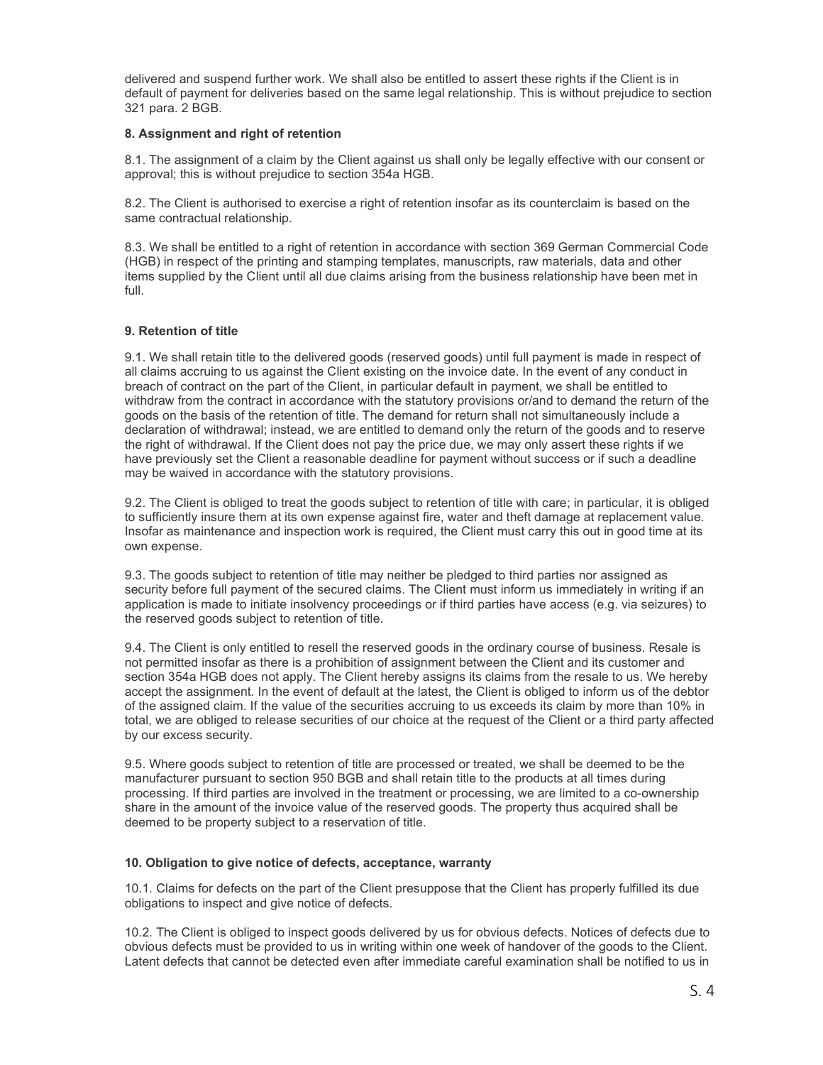delivered and suspend further work. We shall also be entitled to assert these rights if the Client is in default of payment for deliveries based on the same legal relationship. This is without prejudice to section 321 para. 2 BGB.

## 8. Assignment and right of retention

8.1. The assignment of a claim by the Client against us shall only be legally effective with our consent or approval; this is without prejudice to section 354a HGB.

8.2. The Client is authorised to exercise a right of retention insofar as its counterclaim is based on the same contractual relationship.

8.3. We shall be entitled to a right of retention in accordance with section 369 German Commercial Code (HGB) in respect of the printing and stamping templates, manuscripts, raw materials, data and other items supplied by the Client until all due claims arising from the business relationship have been met in full.

## 9. Retention of title

9.1. We shall retain title to the delivered goods (reserved goods) until full payment is made in respect of all claims accruing to us against the Client existing on the invoice date. In the event of any conduct in breach of contract on the part of the Client, in particular default in payment, we shall be entitled to withdraw from the contract in accordance with the statutory provisions or/and to demand the return of the goods on the basis of the retention of title. The demand for return shall not simultaneously include a declaration of withdrawal; instead, we are entitled to demand only the return of the goods and to reserve the right of withdrawal. If the Client does not pay the price due, we may only assert these rights if we have previously set the Client a reasonable deadline for payment without success or if such a deadline may be waived in accordance with the statutory provisions.

9.2. The Client is obliged to treat the goods subject to retention of title with care; in particular, it is obliged to sufficiently insure them at its own expense against fire, water and theft damage at replacement value. Insofar as maintenance and inspection work is required, the Client must carry this out in good time at its own expense.

9.3. The goods subject to retention of title may neither be pledged to third parties nor assigned as security before full payment of the secured claims. The Client must inform us immediately in writing if an application is made to initiate insolvency proceedings or if third parties have access (e.g. via seizures) to the reserved goods subject to retention of title.

9.4. The Client is only entitled to resell the reserved goods in the ordinary course of business. Resale is not permitted insofar as there is a prohibition of assignment between the Client and its customer and section 354a HGB does not apply. The Client hereby assigns its claims from the resale to us. We hereby accept the assignment. In the event of default at the latest, the Client is obliged to inform us of the debtor of the assigned claim. If the value of the securities accruing to us exceeds its claim by more than 10% in total, we are obliged to release securities of our choice at the request of the Client or a third party affected by our excess security.

9.5. Where goods subject to retention of title are processed or treated, we shall be deemed to be the manufacturer pursuant to section 950 BGB and shall retain title to the products at all times during processing. If third parties are involved in the treatment or processing, we are limited to a co-ownership share in the amount of the invoice value of the reserved goods. The property thus acquired shall be deemed to be property subject to a reservation of title.

#### 10. Obligation to give notice of defects, acceptance, warranty

10.1. Claims for defects on the part of the Client presuppose that the Client has properly fulfilled its due obligations to inspect and give notice of defects.

10.2. The Client is obliged to inspect goods delivered by us for obvious defects. Notices of defects due to obvious defects must be provided to us in writing within one week of handover of the goods to the Client. Latent defects that cannot be detected even after immediate careful examination shall be notified to us in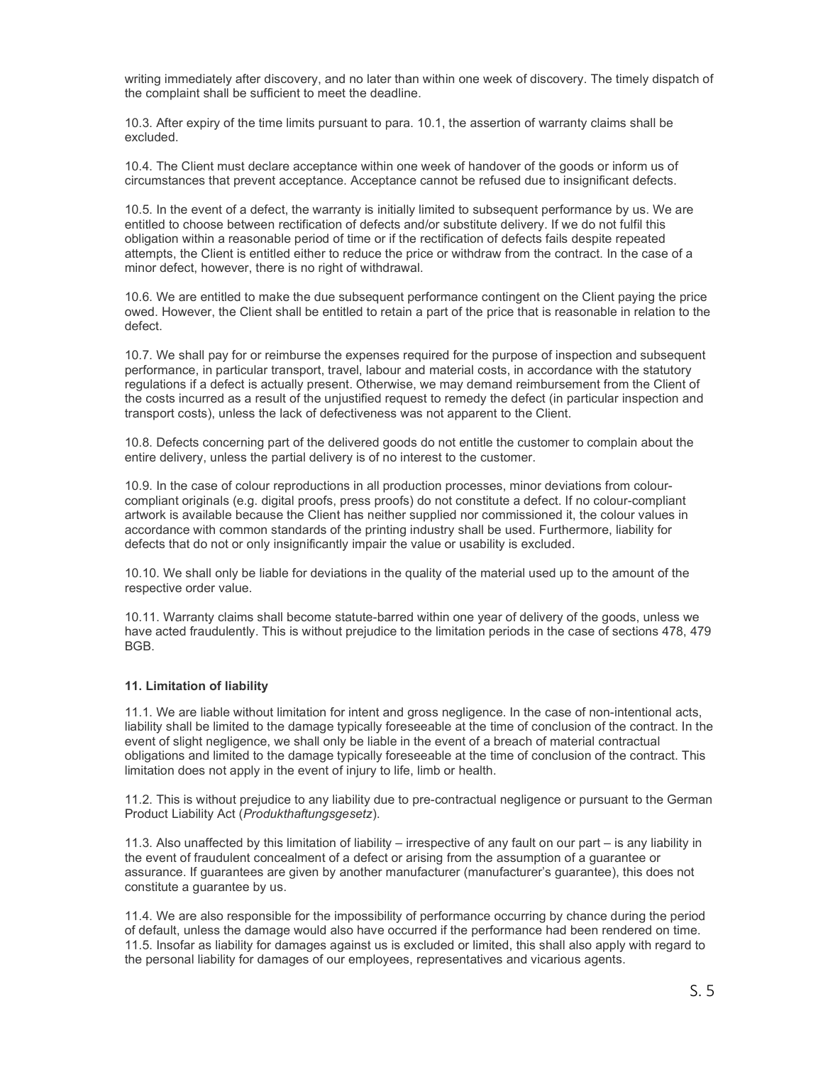writing immediately after discovery, and no later than within one week of discovery. The timely dispatch of the complaint shall be sufficient to meet the deadline.

10.3. After expiry of the time limits pursuant to para. 10.1, the assertion of warranty claims shall be excluded.

10.4. The Client must declare acceptance within one week of handover of the goods or inform us of circumstances that prevent acceptance. Acceptance cannot be refused due to insignificant defects.

10.5. In the event of a defect, the warranty is initially limited to subsequent performance by us. We are entitled to choose between rectification of defects and/or substitute delivery. If we do not fulfil this obligation within a reasonable period of time or if the rectification of defects fails despite repeated attempts, the Client is entitled either to reduce the price or withdraw from the contract. In the case of a minor defect, however, there is no right of withdrawal.

10.6. We are entitled to make the due subsequent performance contingent on the Client paying the price owed. However, the Client shall be entitled to retain a part of the price that is reasonable in relation to the defect.

10.7. We shall pay for or reimburse the expenses required for the purpose of inspection and subsequent performance, in particular transport, travel, labour and material costs, in accordance with the statutory regulations if a defect is actually present. Otherwise, we may demand reimbursement from the Client of the costs incurred as a result of the unjustified request to remedy the defect (in particular inspection and transport costs), unless the lack of defectiveness was not apparent to the Client.

10.8. Defects concerning part of the delivered goods do not entitle the customer to complain about the entire delivery, unless the partial delivery is of no interest to the customer.

10.9. In the case of colour reproductions in all production processes, minor deviations from colourcompliant originals (e.g. digital proofs, press proofs) do not constitute a defect. If no colour-compliant artwork is available because the Client has neither supplied nor commissioned it, the colour values in accordance with common standards of the printing industry shall be used. Furthermore, liability for defects that do not or only insignificantly impair the value or usability is excluded.

10.10. We shall only be liable for deviations in the quality of the material used up to the amount of the respective order value.

10.11. Warranty claims shall become statute-barred within one year of delivery of the goods, unless we have acted fraudulently. This is without prejudice to the limitation periods in the case of sections 478, 479 BGB.

## 11. Limitation of liability

11.1. We are liable without limitation for intent and gross negligence. In the case of non-intentional acts, liability shall be limited to the damage typically foreseeable at the time of conclusion of the contract. In the event of slight negligence, we shall only be liable in the event of a breach of material contractual obligations and limited to the damage typically foreseeable at the time of conclusion of the contract. This limitation does not apply in the event of injury to life, limb or health.

11.2. This is without prejudice to any liability due to pre-contractual negligence or pursuant to the German Product Liability Act (Produkthaftungsgesetz).

11.3. Also unaffected by this limitation of liability – irrespective of any fault on our part – is any liability in the event of fraudulent concealment of a defect or arising from the assumption of a guarantee or assurance. If guarantees are given by another manufacturer (manufacturer's guarantee), this does not constitute a guarantee by us.

11.4. We are also responsible for the impossibility of performance occurring by chance during the period of default, unless the damage would also have occurred if the performance had been rendered on time. 11.5. Insofar as liability for damages against us is excluded or limited, this shall also apply with regard to the personal liability for damages of our employees, representatives and vicarious agents.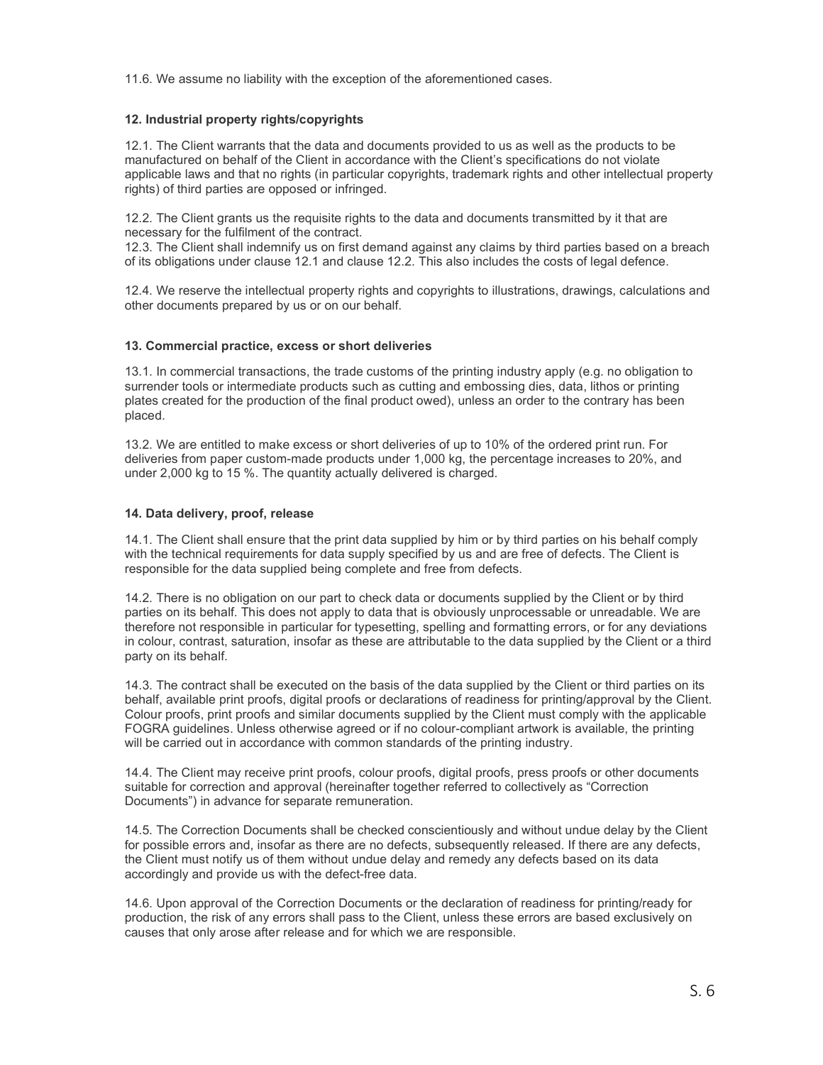11.6. We assume no liability with the exception of the aforementioned cases.

## 12. Industrial property rights/copyrights

12.1. The Client warrants that the data and documents provided to us as well as the products to be manufactured on behalf of the Client in accordance with the Client's specifications do not violate applicable laws and that no rights (in particular copyrights, trademark rights and other intellectual property rights) of third parties are opposed or infringed.

12.2. The Client grants us the requisite rights to the data and documents transmitted by it that are necessary for the fulfilment of the contract.

12.3. The Client shall indemnify us on first demand against any claims by third parties based on a breach of its obligations under clause 12.1 and clause 12.2. This also includes the costs of legal defence.

12.4. We reserve the intellectual property rights and copyrights to illustrations, drawings, calculations and other documents prepared by us or on our behalf.

#### 13. Commercial practice, excess or short deliveries

13.1. In commercial transactions, the trade customs of the printing industry apply (e.g. no obligation to surrender tools or intermediate products such as cutting and embossing dies, data, lithos or printing plates created for the production of the final product owed), unless an order to the contrary has been placed.

13.2. We are entitled to make excess or short deliveries of up to 10% of the ordered print run. For deliveries from paper custom-made products under 1,000 kg, the percentage increases to 20%, and under 2,000 kg to 15 %. The quantity actually delivered is charged.

#### 14. Data delivery, proof, release

14.1. The Client shall ensure that the print data supplied by him or by third parties on his behalf comply with the technical requirements for data supply specified by us and are free of defects. The Client is responsible for the data supplied being complete and free from defects.

14.2. There is no obligation on our part to check data or documents supplied by the Client or by third parties on its behalf. This does not apply to data that is obviously unprocessable or unreadable. We are therefore not responsible in particular for typesetting, spelling and formatting errors, or for any deviations in colour, contrast, saturation, insofar as these are attributable to the data supplied by the Client or a third party on its behalf.

14.3. The contract shall be executed on the basis of the data supplied by the Client or third parties on its behalf, available print proofs, digital proofs or declarations of readiness for printing/approval by the Client. Colour proofs, print proofs and similar documents supplied by the Client must comply with the applicable FOGRA guidelines. Unless otherwise agreed or if no colour-compliant artwork is available, the printing will be carried out in accordance with common standards of the printing industry.

14.4. The Client may receive print proofs, colour proofs, digital proofs, press proofs or other documents suitable for correction and approval (hereinafter together referred to collectively as "Correction Documents") in advance for separate remuneration.

14.5. The Correction Documents shall be checked conscientiously and without undue delay by the Client for possible errors and, insofar as there are no defects, subsequently released. If there are any defects, the Client must notify us of them without undue delay and remedy any defects based on its data accordingly and provide us with the defect-free data.

14.6. Upon approval of the Correction Documents or the declaration of readiness for printing/ready for production, the risk of any errors shall pass to the Client, unless these errors are based exclusively on causes that only arose after release and for which we are responsible.